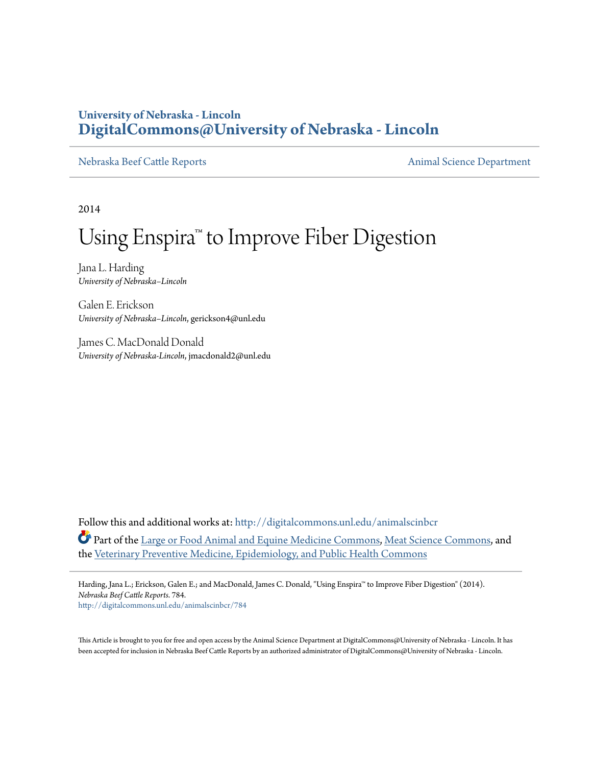### **University of Nebraska - Lincoln [DigitalCommons@University of Nebraska - Lincoln](http://digitalcommons.unl.edu?utm_source=digitalcommons.unl.edu%2Fanimalscinbcr%2F784&utm_medium=PDF&utm_campaign=PDFCoverPages)**

[Nebraska Beef Cattle Reports](http://digitalcommons.unl.edu/animalscinbcr?utm_source=digitalcommons.unl.edu%2Fanimalscinbcr%2F784&utm_medium=PDF&utm_campaign=PDFCoverPages) **[Animal Science Department](http://digitalcommons.unl.edu/ag_animal?utm_source=digitalcommons.unl.edu%2Fanimalscinbcr%2F784&utm_medium=PDF&utm_campaign=PDFCoverPages)** 

2014

# Using Enspira<sup>™</sup> to Improve Fiber Digestion

Jana L. Harding *University of Nebraska–Lincoln*

Galen E. Erickson *University of Nebraska–Lincoln*, gerickson4@unl.edu

James C. MacDonald Donald *University of Nebraska-Lincoln*, jmacdonald2@unl.edu

Follow this and additional works at: [http://digitalcommons.unl.edu/animalscinbcr](http://digitalcommons.unl.edu/animalscinbcr?utm_source=digitalcommons.unl.edu%2Fanimalscinbcr%2F784&utm_medium=PDF&utm_campaign=PDFCoverPages) Part of the [Large or Food Animal and Equine Medicine Commons](http://network.bepress.com/hgg/discipline/766?utm_source=digitalcommons.unl.edu%2Fanimalscinbcr%2F784&utm_medium=PDF&utm_campaign=PDFCoverPages), [Meat Science Commons,](http://network.bepress.com/hgg/discipline/1301?utm_source=digitalcommons.unl.edu%2Fanimalscinbcr%2F784&utm_medium=PDF&utm_campaign=PDFCoverPages) and the [Veterinary Preventive Medicine, Epidemiology, and Public Health Commons](http://network.bepress.com/hgg/discipline/769?utm_source=digitalcommons.unl.edu%2Fanimalscinbcr%2F784&utm_medium=PDF&utm_campaign=PDFCoverPages)

Harding, Jana L.; Erickson, Galen E.; and MacDonald, James C. Donald, "Using Enspira™ to Improve Fiber Digestion" (2014). *Nebraska Beef Cattle Reports*. 784. [http://digitalcommons.unl.edu/animalscinbcr/784](http://digitalcommons.unl.edu/animalscinbcr/784?utm_source=digitalcommons.unl.edu%2Fanimalscinbcr%2F784&utm_medium=PDF&utm_campaign=PDFCoverPages)

This Article is brought to you for free and open access by the Animal Science Department at DigitalCommons@University of Nebraska - Lincoln. It has been accepted for inclusion in Nebraska Beef Cattle Reports by an authorized administrator of DigitalCommons@University of Nebraska - Lincoln.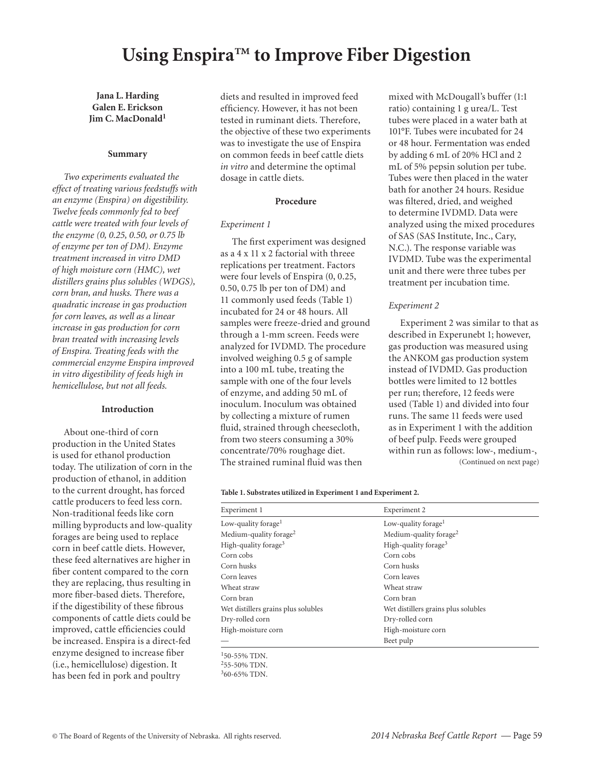## **Using Enspira™ to Improve Fiber Digestion**

**Jana L. Harding Galen E. Erickson Jim C. MacDonald<sup>1</sup>**

#### **Summary**

*Two experiments evaluated the effect of treating various feedstuffs with an enzyme (Enspira) on digestibility. Twelve feeds commonly fed to beef cattle were treated with four levels of the enzyme (0, 0.25, 0.50, or 0.75 lb of enzyme per ton of DM). Enzyme treatment increased in vitro DMD of high moisture corn (HMC), wet distillers grains plus solubles (WDGS), corn bran, and husks. There was a quadratic increase in gas production for corn leaves, as well as a linear increase in gas production for corn bran treated with increasing levels of Enspira. Treating feeds with the commercial enzyme Enspira improved in vitro digestibility of feeds high in hemicellulose, but not all feeds.*

#### **Introduction**

About one-third of corn production in the United States is used for ethanol production today. The utilization of corn in the production of ethanol, in addition to the current drought, has forced cattle producers to feed less corn. Non-traditional feeds like corn milling byproducts and low-quality forages are being used to replace corn in beef cattle diets. However, these feed alternatives are higher in fiber content compared to the corn they are replacing, thus resulting in more fiber-based diets. Therefore, if the digestibility of these fibrous components of cattle diets could be improved, cattle efficiencies could be increased. Enspira is a direct-fed enzyme designed to increase fiber (i.e., hemicellulose) digestion. It has been fed in pork and poultry

diets and resulted in improved feed efficiency. However, it has not been tested in ruminant diets. Therefore, the objective of these two experiments was to investigate the use of Enspira on common feeds in beef cattle diets *in vitro* and determine the optimal dosage in cattle diets.

#### **Procedure**

#### *Experiment 1*

The first experiment was designed as a 4 x 11 x 2 factorial with threee replications per treatment. Factors were four levels of Enspira (0, 0.25, 0.50, 0.75 lb per ton of DM) and 11 commonly used feeds (Table 1) incubated for 24 or 48 hours. All samples were freeze-dried and ground through a 1-mm screen. Feeds were analyzed for IVDMD. The procedure involved weighing 0.5 g of sample into a 100 mL tube, treating the sample with one of the four levels of enzyme, and adding 50 mL of inoculum. Inoculum was obtained by collecting a mixture of rumen fluid, strained through cheesecloth, from two steers consuming a 30% concentrate/70% roughage diet. The strained ruminal fluid was then

mixed with McDougall's buffer (1:1 ratio) containing 1 g urea/L. Test tubes were placed in a water bath at 101°F. Tubes were incubated for 24 or 48 hour. Fermentation was ended by adding 6 mL of 20% HCl and 2 mL of 5% pepsin solution per tube. Tubes were then placed in the water bath for another 24 hours. Residue was filtered, dried, and weighed to determine IVDMD. Data were analyzed using the mixed procedures of SAS (SAS Institute, Inc., Cary, N.C.). The response variable was IVDMD. Tube was the experimental unit and there were three tubes per treatment per incubation time.

#### *Experiment 2*

Experiment 2 was similar to that as described in Experunebt 1; however, gas production was measured using the ANKOM gas production system instead of IVDMD. Gas production bottles were limited to 12 bottles per run; therefore, 12 feeds were used (Table 1) and divided into four runs. The same 11 feeds were used as in Experiment 1 with the addition of beef pulp. Feeds were grouped within run as follows: low-, medium-, (Continued on next page)

#### **Table 1. Substrates utilized in Experiment 1 and Experiment 2.**

| Experiment 2                        |
|-------------------------------------|
| Low-quality forage <sup>1</sup>     |
| Medium-quality forage <sup>2</sup>  |
| High-quality forage <sup>3</sup>    |
| Corn cobs                           |
| Corn husks                          |
| Corn leaves                         |
| Wheat straw                         |
| Corn bran                           |
| Wet distillers grains plus solubles |
| Dry-rolled corn                     |
| High-moisture corn                  |
| Beet pulp                           |
|                                     |

150-55% TDN. 255-50% TDN. 360-65% TDN.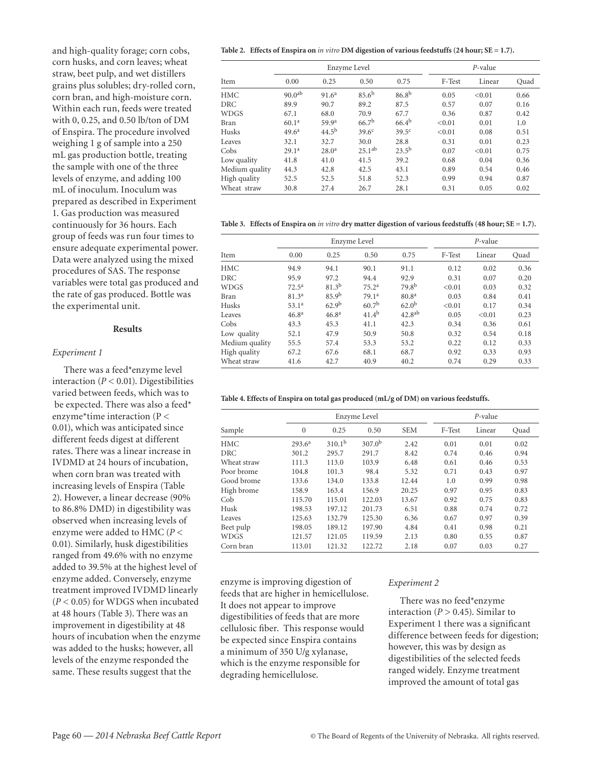**Table 2. Effects of Enspira on** *in vitro* **DM digestion of various feedstuffs (24 hour; SE = 1.7).**

and high-quality forage; corn cobs, corn husks, and corn leaves; wheat straw, beet pulp, and wet distillers grains plus solubles; dry-rolled corn, corn bran, and high-moisture corn. Within each run, feeds were treated with 0, 0.25, and 0.50 lb/ton of DM of Enspira. The procedure involved weighing 1 g of sample into a 250 mL gas production bottle, treating the sample with one of the three levels of enzyme, and adding 100 mL of inoculum. Inoculum was prepared as described in Experiment 1. Gas production was measured continuously for 36 hours. Each group of feeds was run four times to ensure adequate experimental power. Data were analyzed using the mixed procedures of SAS. The response variables were total gas produced and the rate of gas produced. Bottle was the experimental unit.

#### **Results**

#### *Experiment 1*

There was a feed\*enzyme level interaction  $(P < 0.01)$ . Digestibilities varied between feeds, which was to be expected. There was also a feed\* enzyme\*time interaction ( $P <$ 0.01), which was anticipated since different feeds digest at different rates. There was a linear increase in IVDMD at 24 hours of incubation, when corn bran was treated with increasing levels of Enspira (Table 2). However, a linear decrease (90% to 86.8% DMD) in digestibility was observed when increasing levels of enzyme were added to HMC (*P* < 0.01). Similarly, husk digestibilities ranged from 49.6% with no enzyme added to 39.5% at the highest level of enzyme added. Conversely, enzyme treatment improved IVDMD linearly (*P* < 0.05) for WDGS when incubated at 48 hours (Table 3). There was an improvement in digestibility at 48 hours of incubation when the enzyme was added to the husks; however, all levels of the enzyme responded the same. These results suggest that the

|                |                    |                   | Enzyme Level      | $P$ -value        |        |        |      |
|----------------|--------------------|-------------------|-------------------|-------------------|--------|--------|------|
| Item           | 0.00               | 0.25              | 0.50              | 0.75              | F-Test | Linear | Ouad |
| <b>HMC</b>     | 90.0 <sup>ab</sup> | 91.6 <sup>a</sup> | $85.6^{b}$        | $86.8^{b}$        | 0.05   | < 0.01 | 0.66 |
| DRC            | 89.9               | 90.7              | 89.2              | 87.5              | 0.57   | 0.07   | 0.16 |
| <b>WDGS</b>    | 67.1               | 68.0              | 70.9              | 67.7              | 0.36   | 0.87   | 0.42 |
| <b>Bran</b>    | 60.1 <sup>a</sup>  | 59.9 <sup>a</sup> | 66.7 <sup>b</sup> | $66.4^{b}$        | < 0.01 | 0.01   | 1.0  |
| Husks          | 49.6 <sup>a</sup>  | 44.5 <sup>b</sup> | 39.6 <sup>c</sup> | 39.5 <sup>c</sup> | < 0.01 | 0.08   | 0.51 |
| Leaves         | 32.1               | 32.7              | 30.0              | 28.8              | 0.31   | 0.01   | 0.23 |
| Cobs           | 29.1 <sup>a</sup>  | 28.0 <sup>a</sup> | $25.1^{ab}$       | $23.5^{b}$        | 0.07   | < 0.01 | 0.75 |
| Low quality    | 41.8               | 41.0              | 41.5              | 39.2              | 0.68   | 0.04   | 0.36 |
| Medium quality | 44.3               | 42.8              | 42.5              | 43.1              | 0.89   | 0.54   | 0.46 |
| High quality   | 52.5               | 52.5              | 51.8              | 52.3              | 0.99   | 0.94   | 0.87 |
| Wheat straw    | 30.8               | 27.4              | 26.7              | 28.1              | 0.31   | 0.05   | 0.02 |

**Table 3. Effects of Enspira on** *in vitro* **dry matter digestion of various feedstuffs (48 hour; SE = 1.7).**

|                |                   |                   | Enzyme Level      | $P$ -value         |        |        |      |
|----------------|-------------------|-------------------|-------------------|--------------------|--------|--------|------|
| Item           | 0.00              | 0.25              | 0.50              | 0.75               | F-Test | Linear | Ouad |
| <b>HMC</b>     | 94.9              | 94.1              | 90.1              | 91.1               | 0.12   | 0.02   | 0.36 |
| <b>DRC</b>     | 95.9              | 97.2              | 94.4              | 92.9               | 0.31   | 0.07   | 0.20 |
| <b>WDGS</b>    | $72.5^{\rm a}$    | $81.3^{b}$        | 75.2 <sup>a</sup> | 79.8 <sup>b</sup>  | < 0.01 | 0.03   | 0.32 |
| Bran           | 81.3 <sup>a</sup> | 85.9 <sup>b</sup> | 79.1 <sup>a</sup> | 80.8 <sup>a</sup>  | 0.03   | 0.84   | 0.41 |
| Husks          | 53.1 <sup>a</sup> | 62.9 <sup>b</sup> | 60.7 <sup>b</sup> | 62.0 <sup>b</sup>  | < 0.01 | 0.17   | 0.34 |
| Leaves         | 46.8 <sup>a</sup> | 46.8 <sup>a</sup> | $41.4^{b}$        | 42.8 <sup>ab</sup> | 0.05   | < 0.01 | 0.23 |
| Cobs           | 43.3              | 45.3              | 41.1              | 42.3               | 0.34   | 0.36   | 0.61 |
| Low quality    | 52.1              | 47.9              | 50.9              | 50.8               | 0.32   | 0.54   | 0.18 |
| Medium quality | 55.5              | 57.4              | 53.3              | 53.2               | 0.22   | 0.12   | 0.33 |
| High quality   | 67.2              | 67.6              | 68.1              | 68.7               | 0.92   | 0.33   | 0.93 |
| Wheat straw    | 41.6              | 42.7              | 40.9              | 40.2               | 0.74   | 0.29   | 0.33 |

#### **Table 4. Effects of Enspira on total gas produced (mL/g of DM) on various feedstuffs.**

|             | Enzyme Level       |             |                    |            | $P$ -value |        |      |  |
|-------------|--------------------|-------------|--------------------|------------|------------|--------|------|--|
| Sample      | $\mathbf{0}$       | 0.25        | 0.50               | <b>SEM</b> | F-Test     | Linear | Quad |  |
| HMC         | 293.6 <sup>a</sup> | $310.1^{b}$ | 307.0 <sup>b</sup> | 2.42       | 0.01       | 0.01   | 0.02 |  |
| DRC         | 301.2              | 295.7       | 291.7              | 8.42       | 0.74       | 0.46   | 0.94 |  |
| Wheat straw | 111.3              | 113.0       | 103.9              | 6.48       | 0.61       | 0.46   | 0.53 |  |
| Poor brome  | 104.8              | 101.3       | 98.4               | 5.32       | 0.71       | 0.43   | 0.97 |  |
| Good brome  | 133.6              | 134.0       | 133.8              | 12.44      | 1.0        | 0.99   | 0.98 |  |
| High brome  | 158.9              | 163.4       | 156.9              | 20.25      | 0.97       | 0.95   | 0.83 |  |
| Cob         | 115.70             | 115.01      | 122.03             | 13.67      | 0.92       | 0.75   | 0.83 |  |
| Husk        | 198.53             | 197.12      | 201.73             | 6.51       | 0.88       | 0.74   | 0.72 |  |
| Leaves      | 125.63             | 132.79      | 125.30             | 6.36       | 0.67       | 0.97   | 0.39 |  |
| Beet pulp   | 198.05             | 189.12      | 197.90             | 4.84       | 0.41       | 0.98   | 0.21 |  |
| WDGS        | 121.57             | 121.05      | 119.59             | 2.13       | 0.80       | 0.55   | 0.87 |  |
| Corn bran   | 113.01             | 121.32      | 122.72             | 2.18       | 0.07       | 0.03   | 0.27 |  |

enzyme is improving digestion of feeds that are higher in hemicellulose. It does not appear to improve digestibilities of feeds that are more cellulosic fiber. This response would be expected since Enspira contains a minimum of 350 U/g xylanase, which is the enzyme responsible for degrading hemicellulose.

#### *Experiment 2*

There was no feed\*enzyme interaction ( $P > 0.45$ ). Similar to Experiment 1 there was a significant difference between feeds for digestion; however, this was by design as digestibilities of the selected feeds ranged widely. Enzyme treatment improved the amount of total gas